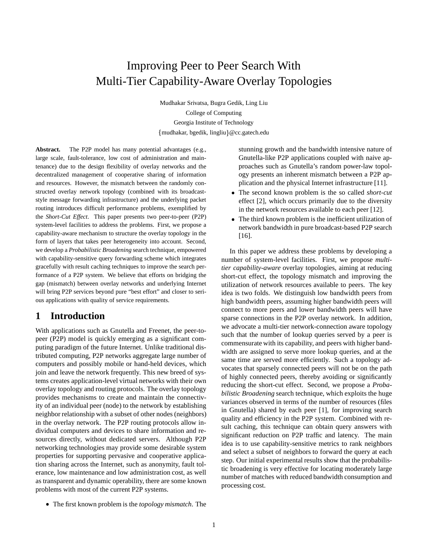# Improving Peer to Peer Search With Multi-Tier Capability-Aware Overlay Topologies

Mudhakar Srivatsa, Bugra Gedik, Ling Liu College of Computing Georgia Institute of Technology mudhakar, bgedik, lingliu @cc.gatech.edu

Abstract. The P2P model has many potential advantages (e.g., large scale, fault-tolerance, low cost of administration and maintenance) due to the design flexibility of overlay networks and the decentralized management of cooperative sharing of information and resources. However, the mismatch between the randomly constructed overlay network topology (combined with its broadcaststyle message forwarding infrastructure) and the underlying packet routing introduces difficult performance problems, exemplified by the *Short-Cut Effect*. This paper presents two peer-to-peer (P2P) system-level facilities to address the problems. First, we propose a capability-aware mechanism to structure the overlay topology in the form of layers that takes peer heterogeneity into account. Second, we develop a *Probabilistic Broadening* search technique, empowered with capability-sensitive query forwarding scheme which integrates gracefully with result caching techniques to improve the search performance of a P2P system. We believe that efforts on bridging the gap (mismatch) between overlay networks and underlying Internet will bring P2P services beyond pure "best effort" and closer to serious applications with quality of service requirements.

## **1 Introduction**

With applications such as Gnutella and Freenet, the peer-topeer (P2P) model is quickly emerging as a significant computing paradigm of the future Internet. Unlike traditional distributed computing, P2P networks aggregate large number of computers and possibly mobile or hand-held devices, which join and leave the network frequently. This new breed of systems creates application-level virtual networks with their own overlay topology and routing protocols. The overlay topology provides mechanisms to create and maintain the connectivity of an individual peer (node) to the network by establishing neighbor relationship with a subset of other nodes (neighbors) in the overlay network. The P2P routing protocols allow individual computers and devices to share information and resources directly, without dedicated servers. Although P2P networking technologies may provide some desirable system properties for supporting pervasive and cooperative application sharing across the Internet, such as anonymity, fault tolerance, low maintenance and low administration cost, as well as transparent and dynamic operability, there are some known problems with most of the current P2P systems.

- The first known problem is the *topology mismatch*. The

stunning growth and the bandwidth intensive nature of Gnutella-like P2P applications coupled with naive approaches such as Gnutella's random power-law topology presents an inherent mismatch between a P2P application and the physical Internet infrastructure [11].

- The second known problem is the so called *short-cut* effect [2], which occurs primarily due to the diversity in the network resources available to each peer [12].
- The third known problem is the inefficient utilization of network bandwidth in pure broadcast-based P2P search [16].

In this paper we address these problems by developing a number of system-level facilities. First, we propose *multitier capability-aware* overlay topologies, aiming at reducing short-cut effect, the topology mismatch and improving the utilization of network resources available to peers. The key idea is two folds. We distinguish low bandwidth peers from high bandwidth peers, assuming higher bandwidth peers will connect to more peers and lower bandwidth peers will have sparse connections in the P2P overlay network. In addition, we advocate a multi-tier network-connection aware topology such that the number of lookup queries served by a peer is commensurate with its capability, and peers with higher bandwidth are assigned to serve more lookup queries, and at the same time are served more efficiently. Such a topology advocates that sparsely connected peers will not be on the path of highly connected peers, thereby avoiding or significantly reducing the short-cut effect. Second, we propose a *Probabilistic Broadening* search technique, which exploits the huge variances observed in terms of the number of resources (files in Gnutella) shared by each peer [1], for improving search quality and efficiency in the P2P system. Combined with result caching, this technique can obtain query answers with significant reduction on P2P traffic and latency. The main idea is to use capability-sensitive metrics to rank neighbors and select a subset of neighbors to forward the query at each step. Our initial experimental results show that the probabilistic broadening is very effective for locating moderately large number of matches with reduced bandwidth consumption and processing cost.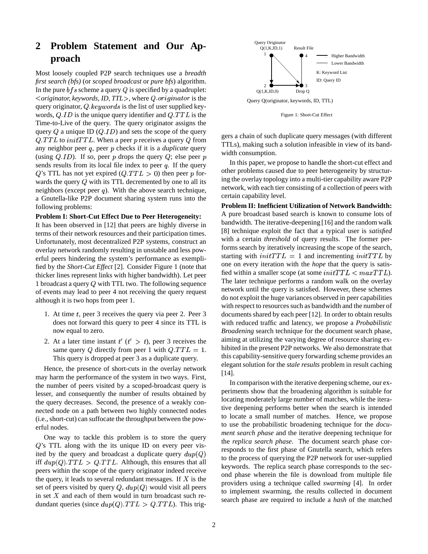## **2 Problem Statement and Our Approach**

Most loosely coupled P2P search techniques use a *breadth first search (bfs)* (or *scoped broadcast* or *pure bfs*) algorithm. In the pure  $bf s$  scheme a query Q is specified by a quadruplet:  $\leq$  *originator, keywords, ID, TTL* $>$ , where Q *originator* is the query originator, Q.  $keywords$  is the list of user supplied keywords,  $Q.ID$  is the unique query identifier and  $Q.TTL$  is the Time-to-Live of the query. The query originator assigns the query  $Q$  a unique ID  $(Q.ID)$  and sets the scope of the query  $Q.TTL$  to *init*  $TTL$ . When a peer p receives a query Q from any neighbor peer q, peer p checks if it is a *duplicate* query (using  $Q.ID$ ). If so, peer p drops the query  $Q$ ; else peer p sends results from its local file index to peer  $q$ . If the query  $Q$ 's TTL has not yet expired  $(Q. TTL > 0)$  then peer p forwards the query  $Q$  with its TTL decremented by one to all its neighbors (except peer  $q$ ). With the above search technique, a Gnutella-like P2P document sharing system runs into the following problems:

#### **Problem I: Short-Cut Effect Due to Peer Heterogeneity:**

It has been observed in [12] that peers are highly diverse in terms of their network resources and their participation times. Unfortunately, most decentralized P2P systems, construct an overlay network randomly resulting in unstable and less powerful peers hindering the system's performance as exemplified by the *Short-Cut Effect* [2]. Consider Figure 1 (note that thicker lines represent links with higher bandwidth). Let peer 1 broadcast a query  $Q$  with TTL two. The following sequence of events may lead to peer 4 not receiving the query request although it is two hops from peer 1.

- 1. At time  $t$ , peer 3 receives the query via peer 2. Peer 3 does not forward this query to peer 4 since its TTL is now equal to zero.
- 2. At a later time instant  $t'$  ( $t' > t$ ), peer 3 receives the same query Q directly from peer 1 with  $Q.TTL = 1$ . This query is dropped at peer 3 as a duplicate query.

Hence, the presence of short-cuts in the overlay network may harm the performance of the system in two ways. First, the number of peers visited by a scoped-broadcast query is lesser, and consequently the number of results obtained by the query decreases. Second, the presence of a weakly connected node on a path between two highly connected nodes (i.e., short-cut) can suffocate the throughput between the powerful nodes.

One way to tackle this problem is to store the query  $Q$ 's TTL along with the its unique ID on every peer visited by the query and broadcast a duplicate query  $dup(Q)$ iff  $dup(Q) . TTL > Q . TTL$ . Although, this ensures that all peers within the scope of the query originator indeed receive the query, it leads to several redundant messages. If  $X$  is the set of peers visited by query  $Q$ ,  $dup(Q)$  would visit all peers in set  $X$  and each of them would in turn broadcast such redundant queries (since  $dup(Q)$ . TTL >  $Q$ . TTL). This trig-



Figure 1: Short-Cut Effect

gers a chain of such duplicate query messages (with different TTLs), making such a solution infeasible in view of its bandwidth consumption.

In this paper, we propose to handle the short-cut effect and other problems caused due to peer heterogeneity by structuring the overlay topology into a multi-tier capability aware P2P network, with each tier consisting of a collection of peers with certain capability level.

**Problem II: Inefficient Utilization of Network Bandwidth:** A pure broadcast based search is known to consume lots of bandwidth. The iterative-deepening [16] and the random walk [8] technique exploit the fact that a typical user is *satisfied* with a certain *threshold* of query results. The former performs search by iteratively increasing the scope of the search, starting with  $initTTL = 1$  and incrementing  $initTTL$  by one on every iteration with the *hope* that the query is satisfied within a smaller scope (at some  $initTTL < maxTTL$ ). The later technique performs a random walk on the overlay network until the query is satisfied. However, these schemes do not exploit the huge variances observed in peer capabilities with respect to resources such as bandwidth and the number of documents shared by each peer [12]. In order to obtain results with reduced traffic and latency, we propose a *Probabilistic Broadening* search technique for the document search phase, aiming at utilizing the varying degree of resource sharing exhibited in the present P2P networks. We also demonstrate that this capability-sensitive query forwarding scheme provides an elegant solution for the *stale results* problem in result caching [14].

In comparison with the iterative deepening scheme, our experiments show that the broadening algorithm is suitable for locating moderately large number of matches, while the iterative deepening performs better when the search is intended to locate a small number of matches. Hence, we propose to use the probabilistic broadening technique for the *document search phase* and the iterative deepening technique for the *replica search phase*. The document search phase corresponds to the first phase of Gnutella search, which refers to the process of querying the P2P network for user-supplied keywords. The replica search phase corresponds to the second phase wherein the file is download from multiple file providers using a technique called *swarming* [4]. In order to implement swarming, the results collected in document search phase are required to include a *hash* of the matched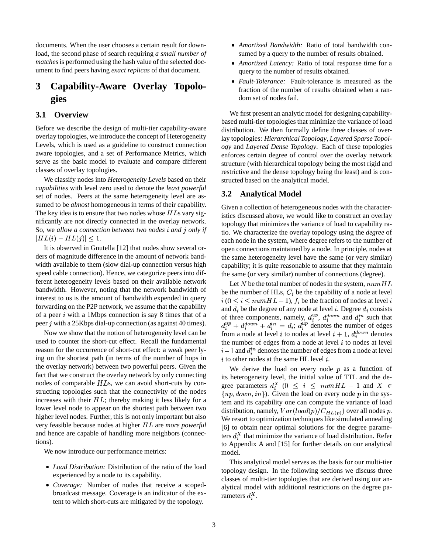documents. When the user chooses a certain result for download, the second phase of search requiring *a small number of matches* is performed using the hash value of the selected document to find peers having *exact replicas* of that document.

## **3 Capability-Aware Overlay Topologies**

### **3.1 Overview**

Before we describe the design of multi-tier capability-aware overlay topologies, we introduce the concept of Heterogeneity Levels, which is used as a guideline to construct connection aware topologies, and a set of Performance Metrics, which serve as the basic model to evaluate and compare different classes of overlay topologies.

We classify nodes into *Heterogeneity Levels* based on their *capabilities* with level zero used to denote the *least powerful* set of nodes. Peers at the same heterogeneity level are assumed to be *almost* homogeneous in terms of their capability. The key idea is to ensure that two nodes whose  $H\mathbb{L}s$  vary significantly are not directly connected in the overlay network. So, we *allow a connection between two nodes and only if*  $|HL(i) - HL(j)| \leq 1.$ 

It is observed in Gnutella [12] that nodes show several orders of magnitude difference in the amount of network bandwidth available to them (slow dial-up connection versus high speed cable connection). Hence, we categorize peers into different heterogeneity levels based on their available network bandwidth. However, noting that the network bandwidth of interest to us is the amount of bandwidth expended in query forwarding on the P2P network, we assume that the capability of a peer  $i$  with a 1Mbps connection is say 8 times that of a peer  $j$  with a 25Kbps dial-up connection (as against 40 times).

Now we show that the notion of heterogeneity level can be used to counter the short-cut effect. Recall the fundamental reason for the occurrence of short-cut effect: a weak peer lying on the shortest path (in terms of the number of hops in the overlay network) between two powerful peers. Given the fact that we construct the overlay network by only connecting nodes of comparable  $H\mathcal{L}s$ , we can avoid short-cuts by constructing topologies such that the connectivity of the nodes increases with their  $HL$ ; thereby making it less likely for a lower level node to appear on the shortest path between two higher level nodes. Further, this is not only important but also very feasible because nodes at higher  $HL$  are *more powerful* and hence are capable of handling more neighbors (connections).

We now introduce our performance metrics:

- *Load Distribution:* Distribution of the ratio of the load experienced by a node to its capability.
- *Coverage:* Number of nodes that receive a scopedbroadcast message. Coverage is an indicator of the extent to which short-cuts are mitigated by the topology.
- *Amortized Bandwidth:* Ratio of total bandwidth consumed by a query to the number of results obtained.
- Amortized Latency: Ratio of total response time for a query to the number of results obtained.
- *Fault-Tolerance:* Fault-tolerance is measured as the fraction of the number of results obtained when a random set of nodes fail.

We first present an analytic model for designing capabilitybased multi-tier topologies that minimize the variance of load distribution. We then formally define three classes of overlay topologies: *Hierarchical Topology*, *Layered Sparse Topology* and *Layered Dense Topology*. Each of these topologies enforces certain degree of control over the overlay network structure (with hierarchical topology being the most rigid and restrictive and the dense topology being the least) and is constructed based on the analytical model.

### **3.2 Analytical Model**

Given a collection of heterogeneous nodes with the characteristics discussed above, we would like to construct an overlay topology that minimizes the variance of load to capability ratio. We characterize the overlay topology using the *degree* of each node in the system, where degree refers to the number of open connections maintained by a node. In principle, nodes at the same heterogeneity level have the same (or very similar) capability; it is quite reasonable to assume that they maintain the same (or very similar) number of connections (degree).

Let N be the total number of nodes in the system,  $numHL$ be the number of HLs,  $C_i$  be the capability of a node at level  $i (0 \le i \le numHL-1)$ ,  $f_i$  be the fraction of nodes at level  $i$ and  $d_i$  be the degree of any node at level i. Degree  $d_i$  consists of three components, namely,  $d_i^{up}$ ,  $d_i^{down}$  and  $d_i^{in}$  such that  $d_i^{up} + d_i^{down} + d_i^{in} = d_i$ ;  $d_i^{up}$  denotes the number of edges from a node at level i to nodes at level  $i + 1$ ,  $d_i^{down}$  denotes the number of edges from a node at level  $i$  to nodes at level  $i-1$  and  $d_i^{in}$  denotes the number of edges from a node at level  $i$  to other nodes at the same HL level  $i$ .

We derive the load on every node  $p$  as a function of its heterogeneity level, the initial value of TTL and the degree parameters  $d_i^X$  (0  $\leq i \leq numHL-1$  and  $X \in$  $\{up, down, in\}$ ). Given the load on every node p in the system and its capability one can compute the variance of load distribution, namely,  $Var(load(p)/C_{HL(p)})$  over all nodes p. We resort to optimization techniques like simulated annealing [6] to obtain near optimal solutions for the degree parameters  $d_i^X$  that minimize the variance of load distribution. Refer to Appendix A and [15] for further details on our analytical model.

This analytical model serves as the basis for our multi-tier topology design. In the following sections we discuss three classes of multi-tier topologies that are derived using our analytical model with additional restrictions on the degree parameters  $d_i^X$ .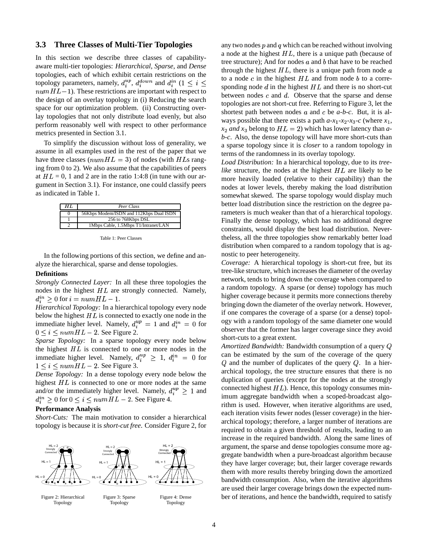#### **3.3 Three Classes of Multi-Tier Topologies**

In this section we describe three classes of capabilityaware multi-tier topologies: *Hierarchical*, *Sparse*, and *Dense* topologies, each of which exhibit certain restrictions on the topology parameters, namely,  $d_i^{up}$ ,  $d_i^{down}$  and  $d_i^{in}$  ( $1 \le i \le \infty$  and  $\frac{1}{2}$  $numHL-1$ ). These restrictions are important with respect to the design of an overlay topology in (i) Reducing the search space for our optimization problem. (ii) Constructing overlay topologies that not only distribute load evenly, but also perform reasonably well with respect to other performance metrics presented in Section 3.1.

To simplify the discussion without loss of generality, we assume in all examples used in the rest of the paper that we have three classes  $(numHL = 3)$  of nodes (with HLs ranging from 0 to 2). We also assume that the capabilities of peers at  $HL = 0$ , 1 and 2 are in the ratio 1:4:8 (in tune with our argument in Section 3.1). For instance, one could classify peers as indicated in Table 1.

| HL. | Peer Class                              |
|-----|-----------------------------------------|
| O   | 56Kbps Modem/ISDN and 112Kbps Dual ISDN |
|     | 256 to 768Kbps DSL                      |
|     | 1Mbps Cable, 1.5Mbps T1/Intranet/LAN    |



In the following portions of this section, we define and analyze the hierarchical, sparse and dense topologies.

#### **Definitions**

*Strongly Connected Layer:* In all these three topologies the nodes in the highest  $HL$  are strongly connected. Namely,  $d_i^{in} \geq 0$  for  $i = numHL-1$ .

*Hierarchical Topology:* In a hierarchical topology every node below the highest  $HL$  is connected to exactly one node in the immediate higher level. Namely,  $d_i^{up} = 1$  and  $d_i^{un} = 0$  for  $\qquad \qquad ^{0.65}$  $0 \leq i \leq numHL-2$ . See Figure 2.

*Sparse Topology:* In a sparse topology every node below the highest  $HL$  is connected to one or more nodes in the immediate higher level. Namely,  $d_i^{up} \geq 1$ ,  $d_i^{in} = 0$  for call  $1 \leq i \leq numHL-2$ . See Figure 3.

*Dense Topology:* In a dense topology every node below the highest  $HL$  is connected to one or more nodes at the same and/or the immediately higher level. Namely,  $d_i^{up} \geq 1$  and  $d_i^{in} \geq 0$  for  $0 \leq i \leq num H L - 2$ . See Figure 4.

#### **Performance Analysis**

*Short-Cuts:* The main motivation to consider a hierarchical topology is because it is *short-cut free*. Consider Figure 2, for



any two nodes  $p$  and  $q$  which can be reached without involving a node at the highest  $HL$ , there is a unique path (because of tree structure); And for nodes  $a$  and  $b$  that have to be reached through the highest  $HL$ , there is a unique path from node  $a$ to a node  $c$  in the highest  $HL$  and from node  $b$  to a corresponding node  $d$  in the highest  $HL$  and there is no short-cut between nodes  $c$  and  $d$ . Observe that the sparse and dense topologies are not short-cut free. Referring to Figure 3, let the shortest path between nodes  $a$  and  $c$  be  $a-b-c$ . But, it is always possible that there exists a path  $a-x_1-x_2-x_3-c$  (where  $x_1$ ,  $x_2$  *and*  $x_3$  belong to  $HL = 2$ ) which has lower latency than *ab-c*. Also, the dense topology will have more short-cuts than a sparse topology since it is *closer* to a random topology in terms of the randomness in its overlay topology.

*Load Distribution:* In a hierarchical topology, due to its *treelike* structure, the nodes at the highest  $HL$  are likely to be more heavily loaded (relative to their capability) than the nodes at lower levels, thereby making the load distribution somewhat skewed. The sparse topology would display much better load distribution since the restriction on the degree parameters is much weaker than that of a hierarchical topology. Finally the dense topology, which has no additional degree constraints, would display the best load distribution. Nevertheless, all the three topologies show remarkably better load distribution when compared to a random topology that is agnostic to peer heterogeneity.

*Coverage:* A hierarchical topology is short-cut free, but its tree-like structure, which increases the diameter of the overlay network, tends to bring down the coverage when compared to a random topology. A sparse (or dense) topology has much higher coverage because it permits more connections thereby bringing down the diameter of the overlay network. However, if one compares the coverage of a sparse (or a dense) topology with a random topology of the same diameter one would observer that the former has larger coverage since they avoid short-cuts to a great extent.

*Amortized Bandwidth:* Bandwidth consumption of a query can be estimated by the sum of the coverage of the query  $Q$  and the number of duplicates of the query  $Q$ . In a hierarchical topology, the tree structure ensures that there is no duplication of queries (except for the nodes at the strongly connected highest  $HL$ ). Hence, this topology consumes minimum aggregate bandwidth when a scoped-broadcast algorithm is used. However, when iterative algorithms are used, each iteration visits fewer nodes (lesser coverage) in the hierarchical topology; therefore, a larger number of iterations are required to obtain a given threshold of results, leading to an increase in the required bandwidth. Along the same lines of argument, the sparse and dense topologies consume more aggregate bandwidth when a pure-broadcast algorithm because they have larger coverage; but, their larger coverage rewards them with more results thereby bringing down the amortized bandwidth consumption. Also, when the iterative algorithms are used their larger coverage brings down the expected number of iterations, and hence the bandwidth, required to satisfy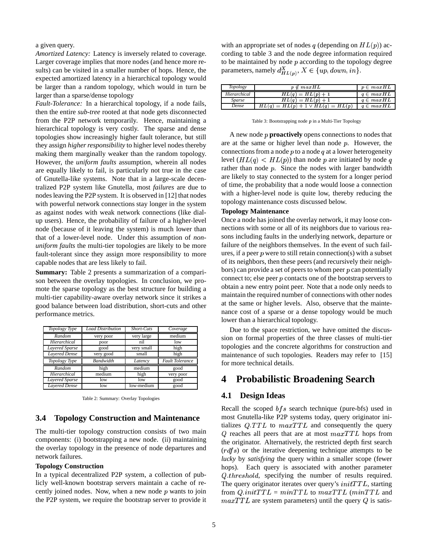#### a given query.

*Amortized Latency:* Latency is inversely related to coverage. Larger coverage implies that more nodes (and hence more results) can be visited in a smaller number of hops. Hence, the expected amortized latency in a hierarchical topology would be larger than a random topology, which would in turn be larger than a sparse/dense topology

*Fault-Tolerance:* In a hierarchical topology, if a node fails, then the entire *sub-tree* rooted at that node gets disconnected from the P2P network temporarily. Hence, maintaining a hierarchical topology is very costly. The sparse and dense topologies show increasingly higher fault tolerance, but still they assign *higher responsibility* to higher level nodes thereby making them marginally weaker than the random topology. However, the *uniform faults* assumption, wherein all nodes are equally likely to fail, is particularly not true in the case of Gnutella-like systems. Note that in a large-scale decentralized P2P system like Gnutella, most *failures* are due to nodes leaving the P2P system. It is observed in [12] that nodes with powerful network connections stay longer in the system as against nodes with weak network connections (like dialup users). Hence, the probability of failure of a higher-level node (because of it leaving the system) is much lower than that of a lower-level node. Under this assumption of *nonuniform faults* the multi-tier topologies are likely to be more fault-tolerant since they assign more responsibility to more capable nodes that are less likely to fail.

**Summary:** Table 2 presents a summarization of a comparison between the overlay topologies. In conclusion, we promote the sparse topology as the best structure for building a multi-tier capability-aware overlay network since it strikes a good balance between load distribution, short-cuts and other performance metrics.

| Topology Type                   | <b>Load Distribution</b><br><b>Short-Cuts</b> |                   | Coverage               |
|---------------------------------|-----------------------------------------------|-------------------|------------------------|
| Random                          | very poor                                     | very large        | medium                 |
| Hierarchical                    | poor                                          | nil               | low                    |
| Layered Sparse                  | good                                          | very small        | high                   |
| Layered Dense                   | very good                                     | small             | high                   |
|                                 |                                               |                   |                        |
| Topology Type                   | <b>Bandwidth</b>                              | Latency           | <b>Fault Tolerance</b> |
| Random                          | high                                          | medium            | good                   |
| Hierarchical                    | medium                                        | high              | very poor              |
| Layered Sparse<br>Lavered Dense | low                                           | low<br>low-medium | good                   |

Table 2: Summary: Overlay Topologies

#### **3.4 Topology Construction and Maintenance**

The multi-tier topology construction consists of two main components: (i) bootstrapping a new node. (ii) maintaining the overlay topology in the presence of node departures and network failures.

#### **Topology Construction**

In a typical decentralized P2P system, a collection of publicly well-known bootstrap servers maintain a cache of recently joined nodes. Now, when a new node  $p$  wants to join the P2P system, we require the bootstrap server to provide it with an appropriate set of nodes  $q$  (depending on  $HL(p)$ ) according to table 3 and the node degree information required to be maintained by node  $p$  according to the topology degree parameters, namely  $d_{HL(p)}^X$ ,  $X \in \{up, down, in\}.$ 

| Topology     | $p \notin maxHL$                       | $p \in max HL$ |
|--------------|----------------------------------------|----------------|
| Hierarchical | $HL(q) = HL(p) + 1$                    | $q \in maxHL$  |
| Sparse       | $HL(q) = HL(p) + 1$                    | $q \in maxHL$  |
| Dense        | $HL(q) = HL(p) + 1 \vee HL(q) = HL(p)$ | $q \in maxHL$  |

| Table 3: Bootstrapping node $p$ in a Multi-Tier Topology |  |  |  |  |  |
|----------------------------------------------------------|--|--|--|--|--|
|----------------------------------------------------------|--|--|--|--|--|

A new node  $p$  **proactively** opens connections to nodes that are at the same or higher level than node  $p$ . However, the connections from a node  $p$  to a node  $q$  at a lower heterogeneity level  $(HL(q) < HL(p))$  than node p are initiated by node q rather than node  $p$ . Since the nodes with larger bandwidth are likely to stay connected to the system for a longer period of time, the probability that a node would loose a connection with a higher-level node is quite low, thereby reducing the topology maintenance costs discussed below.

#### **Topology Maintenance**

Once a node has joined the overlay network, it may loose connections with some or all of its neighbors due to various reasons including faults in the underlying network, departure or failure of the neighbors themselves. In the event of such failures, if a peer  $p$  were to still retain connection(s) with a subset of its neighbors, then these peers (and recursively their neighbors) can provide a set of peers to whom peer  $p$  can potentially connect to; else peer  $p$  contacts one of the bootstrap servers to obtain a new entry point peer. Note that a node only needs to maintain the required number of connections with other nodes at the same or higher levels. Also, observe that the maintenance cost of a sparse or a dense topology would be much lower than a hierarchical topology.

Due to the space restriction, we have omitted the discussion on formal properties of the three classes of multi-tier topologies and the concrete algorithms for construction and maintenance of such topologies. Readers may refer to [15] for more technical details.

## **4 Probabilistic Broadening Search**

### **4.1 Design Ideas**

Recall the scoped  $bf s$  search technique (pure-bfs) used in most Gnutella-like P2P systems today, query originator initializes  $Q.TTL$  to  $maxTTL$  and consequently the query  $Q$  reaches all peers that are at most  $maxTTL$  hops from the originator. Alternatively, the restricted depth first search  $(r \, df \, s)$  or the iterative deepening technique attempts to be *lucky* by *satisfying* the query within a smaller scope (fewer hops). Each query is associated with another parameter Q threshold, specifying the number of results required. The query originator iterates over query's  $initTTL$ , starting from  $Q.initTTL = minTTL$  to  $maxTTL$   $(minTTL$  and  $maxTTL$  are system parameters) until the query Q is satis-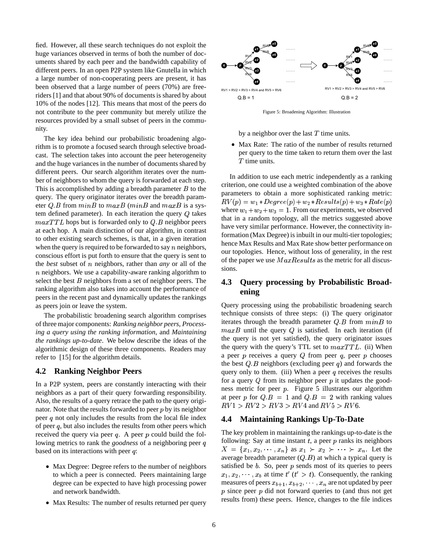fied. However, all these search techniques do not exploit the huge variances observed in terms of both the number of documents shared by each peer and the bandwidth capability of different peers. In an open P2P system like Gnutella in which a large number of non-cooperating peers are present, it has been observed that a large number of peers (70%) are freeriders [1] and that about 90% of documents is shared by about 10% of the nodes [12]. This means that most of the peers do not contribute to the peer community but merely utilize the resources provided by a small subset of peers in the community.

The key idea behind our probabilistic broadening algorithm is to promote a focused search through selective broadcast. The selection takes into account the peer heterogeneity and the huge variances in the number of documents shared by different peers. Our search algorithm iterates over the number of neighbors to whom the query is forwarded at each step. This is accomplished by adding a breadth parameter  $B$  to the query. The query originator iterates over the breadth parameter Q.B from  $minB$  to  $maxB$  ( $minB$  and  $maxB$  is a system defined parameter). In each iteration the query  $Q$  takes  $maxTTL$  hops but is forwarded only to  $Q.B$  neighbor peers at each hop. A main distinction of our algorithm, in contrast to other existing search schemes, is that, in a given iteration when the query is required to be forwarded to say  $n$  neighbors, conscious effort is put forth to ensure that the query is sent to the *best* subset of  $n$  neighbors, rather than *any* or all of the  $n$  neighbors. We use a capability-aware ranking algorithm to select the best  $B$  neighbors from a set of neighbor peers. The ranking algorithm also takes into account the performance of peers in the recent past and dynamically updates the rankings as peers join or leave the system.

The probabilistic broadening search algorithm comprises of three major components: *Ranking neighbor peers*, *Processing a query using the ranking information*, and *Maintaining the rankings up-to-date*. We below describe the ideas of the algorithmic design of these three components. Readers may refer to [15] for the algorithm details.

#### **4.2 Ranking Neighbor Peers**

In a P2P system, peers are constantly interacting with their neighbors as a part of their query forwarding responsibility. Also, the results of a query retrace the path to the query originator. Note that the results forwarded to peer  $p$  by its neighbor peer  $q$  not only includes the results from the local file index of peer  $q$ , but also includes the results from other peers which received the query via peer  $q$ . A peer  $p$  could build the following metrics to rank the *goodness* of a neighboring peer q based on its interactions with peer  $q$ :

- Max Degree: Degree refers to the number of neighbors to which a peer is connected. Peers maintaining large degree can be expected to have high processing power and network bandwidth.
- Max Results: The number of results returned per query



Figure 5: Broadening Algorithm: Illustration

by a neighbor over the last  $T$  time units.

• Max Rate: The ratio of the number of results returned per query to the time taken to return them over the last  $T$  time units.

In addition to use each metric independently as a ranking criterion, one could use a weighted combination of the above parameters to obtain a more sophisticated ranking metric:  $RV(p) = w_1 * Degree(p) + w_2 * Results(p) + w_3 * Rate(p)$ where  $w_1 + w_2 + w_3 = 1$ . From our experiments, we observed that in a random topology, all the metrics suggested above have very similar performance. However, the connectivity information (Max Degree) is inbuilt in our multi-tier topologies; hence Max Results and Max Rate show better performance on our topologies. Hence, without loss of generality, in the rest of the paper we use  $MaxResults$  as the metric for all discussions.

### **4.3 Query processing by Probabilistic Broadening**

Query processing using the probabilistic broadening search technique consists of three steps: (i) The query originator iterates through the breadth parameter  $Q.B$  from  $minB$  to  $maxB$  until the query Q is satisfied. In each iteration (if the query is not yet satisfied), the query originator issues the query with the query's TTL set to  $maxTTL$ . (ii) When a peer  $p$  receives a query  $Q$  from peer  $q$ , peer  $p$  chooses the best  $Q.B$  neighbors (excluding peer  $q$ ) and forwards the query only to them. (iii) When a peer  $q$  receives the results for a query  $Q$  from its neighbor peer  $p$  it updates the goodness metric for peer  $p$ . Figure 5 illustrates our algorithm at peer p for  $Q.B = 1$  and  $Q.B = 2$  with ranking values  $RV1 > RV2 > RV3 > RV4$  and  $RV5 > RV6$ .

### **4.4 Maintaining Rankings Up-To-Date**

The key problem in maintaining the rankings up-to-date is the following: Say at time instant  $t$ , a peer  $p$  ranks its neighbors  $X = \{x_1, x_2, \dots, x_n\}$  as  $x_1 \succ x_2 \succ \dots \succ x_n$ . Let the average breadth parameter  $(Q.B)$  at which a typical query is satisfied be  $b$ . So, peer  $p$  sends most of its queries to peers  $x_1, x_2, \dots, x_b$  at time  $t'$   $(t' > t)$ . Consequently, the ranking measures of peers  $x_{b+1}, x_{b+2}, \cdots, x_n$  are not updated by peer  $p$  since peer  $p$  did not forward queries to (and thus not get results from) these peers. Hence, changes to the file indices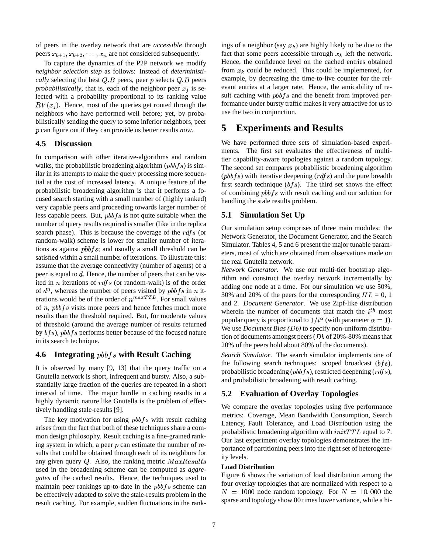of peers in the overlay network that are *accessible* through peers  $x_{b+1}, x_{b+2}, \dots, x_n$  are not considered subsequently.

To capture the dynamics of the P2P network we modify *neighbor selection step* as follows: Instead of *deterministically* selecting the best  $Q.B$  peers, peer  $p$  selects  $Q.B$  peers *probabilistically*, that is, each of the neighbor peer  $x_j$  is selected with a probability proportional to its ranking value  $RV(x_i)$ . Hence, most of the queries get routed through the neighbors who have performed well before; yet, by probabilistically sending the query to some inferior neighbors, peer \* can figure out if they can provide us better results *now*.

### **4.5 Discussion**

In comparison with other iterative-algorithms and random walks, the probabilistic broadening algorithm  $(pbbf s)$  is similar in its attempts to make the query processing more sequential at the cost of increased latency. A unique feature of the probabilistic broadening algorithm is that it performs a focused search starting with a small number of (highly ranked) very capable peers and proceeding towards larger number of less capable peers. But,  $pbbf s$  is not quite suitable when the number of query results required is smaller (like in the replica search phase). This is because the coverage of the  $\text{rdf}_s$  (or random-walk) scheme is lower for smaller number of iterations as against  $pbbfs$ ; and usually a small threshold can be satisfied within a small number of iterations. To illustrate this: assume that the average connectivity (number of agents) of a peer is equal to  $d$ . Hence, the number of peers that can be visited in *n* iterations of  $rdfs$  (or random-walk) is of the order of  $d^n$ , whereas the number of peers visited by  $pbbf{s}$  in *n* iterations would be of the order of  $n^{maxTTL}$ . For small values of  $n$ ,  $pbbfs$  visits more peers and hence fetches much more results than the threshold required. But, for moderate values of threshold (around the average number of results returned by  $bfs)$ ,  $pbbf{s}$  performs better because of the focused nature in its search technique.

### **4.6 Integrating**  $pbbfs$  with Result Caching

It is observed by many [9, 13] that the query traffic on a Gnutella network is short, infrequent and bursty. Also, a substantially large fraction of the queries are repeated in a short interval of time. The major hurdle in caching results in a highly dynamic nature like Gnutella is the problem of effectively handling stale-results [9].

The key motivation for using  $pbbf s$  with result caching arises from the fact that both of these techniques share a common design philosophy. Result caching is a fine-grained ranking system in which, a peer  $p$  can estimate the number of results that could be obtained through each of its neighbors for any given query Q. Also, the ranking metric  $MaxResults$ used in the broadening scheme can be computed as *aggregates* of the cached results. Hence, the techniques used to maintain peer rankings up-to-date in the  $pbbf s$  scheme can be effectively adapted to solve the stale-results problem in the result caching. For example, sudden fluctuations in the rank-

ings of a neighbor (say  $x_k$ ) are highly likely to be due to the fact that some peers accessible through  $x_k$  left the network. Hence, the confidence level on the cached entries obtained from  $x_k$  could be reduced. This could be implemented, for example, by decreasing the time-to-live counter for the relevant entries at a larger rate. Hence, the amicability of result caching with  $pbofs$  and the benefit from improved performance under bursty traffic makes it very attractive for us to use the two in conjunction.

## **5 Experiments and Results**

We have performed three sets of simulation-based experiments. The first set evaluates the effectiveness of multitier capability-aware topologies against a random topology. The second set compares probabilistic broadening algorithm  $(pbbfs)$  with iterative deepening  $(rdfs)$  and the pure breadth first search technique  $(bfs)$ . The third set shows the effect of combining  $pbbfs$  with result caching and our solution for handling the stale results problem.

### **5.1 Simulation Set Up**

Our simulation setup comprises of three main modules: the Network Generator, the Document Generator, and the Search Simulator. Tables 4, 5 and 6 present the major tunable parameters, most of which are obtained from observations made on the real Gnutella network.

*Network Generator*. We use our multi-tier bootstrap algorithm and construct the overlay network incrementally by adding one node at a time. For our simulation we use 50%, 30% and 20% of the peers for the corresponding  $HL = 0, 1$ and 2. *Document Generator*. We use Zipf-like distribution wherein the number of documents that match the  $i^{th}$  most popular query is proportional to  $1/i^{\alpha}$  (with parameter  $\alpha = 1$ ). We use *Document Bias*  $(Db)$  to specify non-uniform distribution of documents amongst peers ( $Db$  of 20%-80% means that 20% of the peers hold about 80% of the documents).

*Search Simulator*. The search simulator implements one of the following search techniques: scoped broadcast  $(bfs)$ , probabilistic broadening ( $pbbfs$ ), restricted deepening (rdfs), and probabilistic broadening with result caching.

### **5.2 Evaluation of Overlay Topologies**

We compare the overlay topologies using five performance metrics: Coverage, Mean Bandwidth Consumption, Search Latency, Fault Tolerance, and Load Distribution using the probabilistic broadening algorithm with  $initTTL$  equal to 7. Our last experiment overlay topologies demonstrates the importance of partitioning peers into the right set of heterogeneity levels.

#### **Load Distribution**

Figure 6 shows the variation of load distribution among the four overlay topologies that are normalized with respect to a  $N = 1000$  node random topology. For  $N = 10,000$  the sparse and topology show 80 times lower variance, while a hi-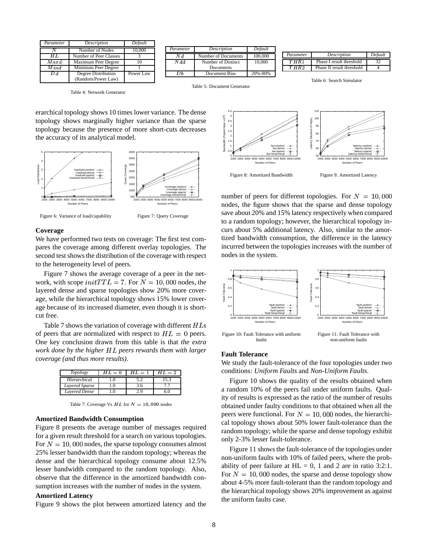| Parameter | Description            | Default   |
|-----------|------------------------|-----------|
|           | Number of Nodes        | 10.000    |
| HT.       | Number of Peer Classes |           |
| Maxd      | Maximum Peer Degree    | 10        |
| Mind      | Minimum Peer Degree    |           |
| Dd        | Degree Distribution    | Power Law |
|           | (Random/Power Law)     |           |



0.5 1 1.5 2 2.5 3 3.5 4 4.5

Bandwidth (Packet Hops x10<sup>3</sup>

with (Packet Hops

 $\hat{\mathsf{f}}$ 

*Parameter Description Default*  $\overline{THR1}$ Phase I result threshold  $THR2$  Phase II result threshold  $\begin{array}{|c|c|} 4 \end{array}$ 

Table 5: Document Generator

Table 6: Search Simulator

1000 2000 3000 4000 5000 6000 7000 8000 9000 10000 Number of Peers 'bw.random' 'bw.dense' 'bw.sparse' 'bw.hierarchical' Figure 8: Amortized Bandwidth 50 60 70 80 90 100 110 1000 2000 3000 4000 5000 6000 7000 8000 9000 10000 Latency (Number of Hops) Number of Peers 'latency.random' 'latency.dense' 'latency.sparse' 'latency.hierarchical' Figure 9: Amortized Latency

number of peers for different topologies. For  $N = 10,000$ nodes, the figure shows that the sparse and dense topology save about 20% and 15% latency respectively when compared to a random topology; however, the hierarchical topology incurs about 5% additional latency. Also, similar to the amortized bandwidth consumption, the difference in the latency incurred between the topologies increases with the number of nodes in the system.



**Fault Tolerance**

We study the fault-tolerance of the four topologies under two conditions: *Uniform Faults* and *Non-Uniform Faults*.

Figure 10 shows the quality of the results obtained when a random 10% of the peers fail under uniform faults. Quality of results is expressed as the ratio of the number of results obtained under faulty conditions to that obtained when all the peers were functional. For  $N = 10,000$  nodes, the hierarchical topology shows about 50% lower fault-tolerance than the random topology; while the sparse and dense topology exhibit only 2-3% lesser fault-tolerance.

Figure 11 shows the fault-tolerance of the topologies under non-uniform faults with 10% of failed peers, where the probability of peer failure at  $HL = 0$ , 1 and 2 are in ratio 3:2:1. For  $N = 10,000$  nodes, the sparse and dense topology show about 4-5% more fault-tolerant than the random topology and the hierarchical topology shows 20% improvement as against the uniform faults case.

Table 4: Network Generator

erarchical topology shows 10 times lower variance. The dense topology shows marginally higher variance than the sparse topology because the presence of more short-cuts decreases the accuracy of its analytical model.





Figure 7: Query Coverage

#### **Coverage**

We have performed two tests on coverage: The first test compares the coverage among different overlay topologies. The second test shows the distribution of the coverage with respect to the heterogeneity level of peers.

Figure 7 shows the average coverage of a peer in the network, with scope  $initTTL = 7$ . For  $N = 10,000$  nodes, the layered dense and sparse topologies show 20% more coverage, while the hierarchical topology shows 15% lower coverage because of its increased diameter, even though it is shortcut free.

Table 7 shows the variation of coverage with different  $H L s$ of peers that are normalized with respect to  $HL = 0$  peers. One key conclusion drawn from this table is that *the extra work done by the higher* ( *peers rewards them with larger coverage (and thus more results).*

| Topology       | $HL=0$ | $HL=1$ | $HL=2$ |
|----------------|--------|--------|--------|
| Hierarchical   |        |        |        |
| Lavered Sparse |        |        |        |
| Lavered Dense  |        |        |        |

Table 7: Coverage Vs  $HL$  for  $N = 10,000$  nodes

#### **Amortized Bandwidth Consumption**

Figure 8 presents the average number of messages required for a given result threshold for a search on various topologies. For  $N = 10,000$  nodes, the sparse topology consumes almost 25% lesser bandwidth than the random topology; whereas the dense and the hierarchical topology consume about 12.5% lesser bandwidth compared to the random topology. Also, observe that the difference in the amortized bandwidth consumption increases with the number of nodes in the system.

### **Amortized Latency**

Figure 9 shows the plot between amortized latency and the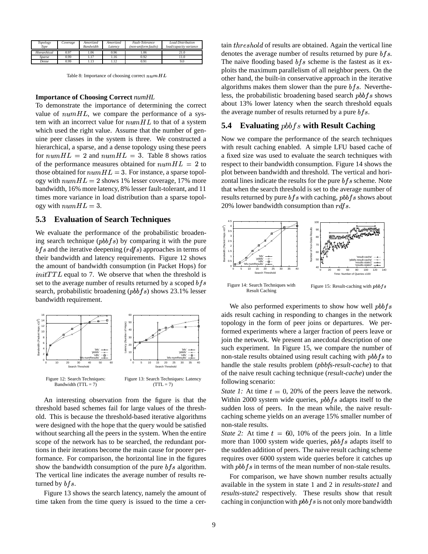| Topology<br>Type | Coverage | Amortized<br><b>Bandwidth</b> | Amortized<br>Latency | <b>Fault-Tolerance</b><br>(non-uniform faults) | <b>Load Distribution</b><br>load/capacity variance |
|------------------|----------|-------------------------------|----------------------|------------------------------------------------|----------------------------------------------------|
| Hierarchical     | 0.97     | 1.06                          | 0.96                 | 1.06                                           | 21.0                                               |
| Sparse           | 0.99     | 1.17                          | 1.16                 | 0.92                                           | 1.0                                                |
| Dense            | 0.99     | . 13                          | l.12                 | 0.91                                           | 9.0                                                |

Table 8: Importance of choosing correct  $numHL$ 

#### **Importance of Choosing Correct** *numHL*

To demonstrate the importance of determining the correct value of  $numHL$ , we compare the performance of a system with an incorrect value for  $numHL$  to that of a system which used the right value. Assume that the number of genuine peer classes in the system is three. We constructed a hierarchical, a sparse, and a dense topology using these peers for  $numHL = 2$  and  $numHL = 3$ . Table 8 shows ratios of the performance measures obtained for  $numHL = 2$  to those obtained for  $numHL = 3$ . For instance, a sparse topology with  $numHL = 2$  shows 1% lesser coverage, 17% more bandwidth, 16% more latency, 8% lesser fault-tolerant, and 11 times more variance in load distribution than a sparse topology with  $numHL = 3$ .

#### **5.3 Evaluation of Search Techniques**

We evaluate the performance of the probabilistic broadening search technique  $(pbbfs)$  by comparing it with the pure  $bf s$  and the iterative deepening  $(r \, df \, s)$  approaches in terms of their bandwidth and latency requirements. Figure 12 shows the amount of bandwidth consumption (in Packet Hops) for  $initTTL$  equal to 7. We observe that when the threshold is set to the average number of results returned by a scoped  $bf s$ search, probabilistic broadening  $(pbbf s)$  shows 23.1% lesser bandwidth requirement.



An interesting observation from the figure is that the threshold based schemes fail for large values of the threshold. This is because the threshold-based iterative algorithms were designed with the hope that the query would be satisfied without searching all the peers in the system. When the entire scope of the network has to be searched, the redundant portions in their iterations become the main cause for poorer performance. For comparison, the horizontal line in the figures show the bandwidth consumption of the pure  $bfs$  algorithm. The vertical line indicates the average number of results returned by  $bf s$ .

Figure 13 shows the search latency, namely the amount of time taken from the time query is issued to the time a cer-

tain  $threshold$  of results are obtained. Again the vertical line denotes the average number of results returned by pure  $bfs$ . The naive flooding based  $bf s$  scheme is the fastest as it exploits the maximum parallelism of all neighbor peers. On the other hand, the built-in conservative approach in the iterative algorithms makes them slower than the pure  $bf s$ . Nevertheless, the probabilistic broadening based search  $pbbf s$  shows about 13% lower latency when the search threshold equals the average number of results returned by a pure  $bf s$ .

### **5.4 Evaluating with Result Caching**

Now we compare the performance of the search techniques with result caching enabled. A simple LFU based cache of a fixed size was used to evaluate the search techniques with respect to their bandwidth consumption. Figure 14 shows the plot between bandwidth and threshold. The vertical and horizontal lines indicate the results for the pure  $s$  scheme. Note that when the search threshold is set to the average number of results returned by pure  $bf s$  with caching,  $pbbf s$  shows about 20% lower bandwidth consumption than  $\frac{r \cdot d}{s}$ .



We also performed experiments to show how well  $pbbf s$ aids result caching in responding to changes in the network topology in the form of peer joins or departures. We performed experiments where a larger fraction of peers leave or join the network. We present an anecdotal description of one such experiment. In Figure 15, we compare the number of non-stale results obtained using result caching with  $pbbf{s}$  to handle the stale results problem (*pbbfs-result-cache*) to that of the naive result caching technique (*result-cache*) under the following scenario:

*State* 1: At time  $t = 0$ , 20% of the peers leave the network. Within 2000 system wide queries,  $pbbf s$  adapts itself to the sudden loss of peers. In the mean while, the naive resultcaching scheme yields on an average 15% smaller number of non-stale results.

*State* 2: At time  $t = 60$ , 10% of the peers join. In a little more than 1000 system wide queries,  $pbbf s$  adapts itself to the sudden addition of peers. The naive result caching scheme requires over 6000 system wide queries before it catches up with  $pbofs$  in terms of the mean number of non-stale results.

For comparison, we have shown number results actually available in the system in state 1 and 2 in *results-state1* and *results-state2* respectively. These results show that result caching in conjunction with  $pbbf$  is not only more bandwidth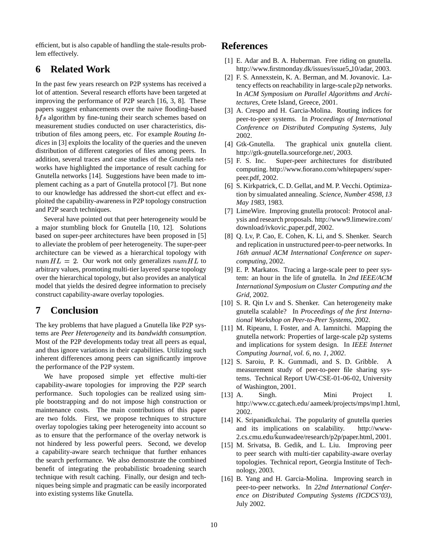efficient, but is also capable of handling the stale-results problem effectively.

## **6 Related Work**

In the past few years research on P2P systems has received a lot of attention. Several research efforts have been targeted at improving the performance of P2P search [16, 3, 8]. These papers suggest enhancements over the naive flooding-based  $bf s$  algorithm by fine-tuning their search schemes based on measurement studies conducted on user characteristics, distribution of files among peers, etc. For example *Routing Indices* in [3] exploits the locality of the queries and the uneven distribution of different categories of files among peers. In addition, several traces and case studies of the Gnutella networks have highlighted the importance of result caching for Gnutella networks [14]. Suggestions have been made to implement caching as a part of Gnutella protocol [7]. But none to our knowledge has addressed the short-cut effect and exploited the capability-awarenessin P2P topology construction and P2P search techniques.

Several have pointed out that peer heterogeneity would be a major stumbling block for Gnutella [10, 12]. Solutions based on super-peer architectures have been proposed in [5] to alleviate the problem of peer heterogeneity. The super-peer architecture can be viewed as a hierarchical topology with  $numHL = 2$ . Our work not only generalizes  $numHL$  to arbitrary values, promoting multi-tier layered sparse topology over the hierarchical topology, but also provides an analytical model that yields the desired degree information to precisely construct capability-aware overlay topologies.

## **7 Conclusion**

The key problems that have plagued a Gnutella like P2P systems are *Peer Heterogeneity* and its *bandwidth consumption*. Most of the P2P developments today treat all peers as equal, and thus ignore variations in their capabilities. Utilizing such inherent differences among peers can significantly improve the performance of the P2P system.

We have proposed simple yet effective multi-tier capability-aware topologies for improving the P2P search performance. Such topologies can be realized using simple bootstrapping and do not impose high construction or maintenance costs. The main contributions of this paper are two folds. First, we propose techniques to structure overlay topologies taking peer heterogeneity into account so as to ensure that the performance of the overlay network is not hindered by less powerful peers. Second, we develop a capability-aware search technique that further enhances the search performance. We also demonstrate the combined benefit of integrating the probabilistic broadening search technique with result caching. Finally, our design and techniques being simple and pragmatic can be easily incorporated into existing systems like Gnutella.

## **References**

- [1] E. Adar and B. A. Huberman. Free riding on gnutella. http://www.firstmonday.dk/issues/issue5 10/adar, 2003.
- [2] F. S. Annexstein, K. A. Berman, and M. Jovanovic. Latency effects on reachability in large-scale p2p networks. In *ACM Symposium on Parallel Algorithms and Architectures*, Crete Island, Greece, 2001.
- [3] A. Crespo and H. Garcia-Molina. Routing indices for peer-to-peer systems. In *Proceedings of International Conference on Distributed Computing Systems*, July 2002.
- [4] Gtk-Gnutella. The graphical unix gnutella client. http://gtk-gnutella.sourceforge.net/, 2003.
- [5] F. S. Inc. Super-peer architectures for distributed computing. http://www.fiorano.com/whitepapers/superpeer.pdf, 2002.
- [6] S. Kirkpatrick, C. D. Gellat, and M. P. Vecchi. Optimization by simualated annealing. *Science, Number 4598, 13 May 1983*, 1983.
- [7] LimeWire. Improving gnutella protocol: Protocol analysis and research proposals. http://www9.limewire.com/ download/ivkovic paper.pdf, 2002.
- [8] O. Lv, P. Cao, E. Cohen, K. Li, and S. Shenker. Search and replication in unstructured peer-to-peer networks. In *16th annual ACM International Conference on supercomputing*, 2002.
- [9] E. P. Markatos. Tracing a large-scale peer to peer system: an hour in the life of gnutella. In *2nd IEEE/ACM International Symposium on Cluster Computing and the Grid*, 2002.
- [10] S. R. Qin Ly and S. Shenker. Can heterogeneity make gnutella scalable? In *Proceedings of the first International Workshop on Peer-to-Peer Systems*, 2002.
- [11] M. Ripeanu, I. Foster, and A. Iamnitchi. Mapping the gnutella network: Properties of large-scale p2p systems and implications for system design. In *IEEE Internet Computing Journal, vol. 6, no. 1, 2002*.
- [12] S. Saroiu, P. K. Gummadi, and S. D. Gribble. A measurement study of peer-to-peer file sharing systems. Technical Report UW-CSE-01-06-02, University of Washington, 2001.
- [13] A. Singh. Mini Project I. http://www.cc.gatech.edu/ aameek/projects/mps/mp1.html, 2002.
- [14] K. Sripanidkulchai. The popularity of gnutella queries and its implications on scalability. http://www-2.cs.cmu.edu/kunwadee/research/p2p/paper.html, 2001.
- [15] M. Srivatsa, B. Gedik, and L. Liu. Improving peer to peer search with multi-tier capability-aware overlay topologies. Technical report, Georgia Institute of Technology, 2003.
- [16] B. Yang and H. Garcia-Molina. Improving search in peer-to-peer networks. In *22nd International Conference on Distributed Computing Systems (ICDCS'03)*, July 2002.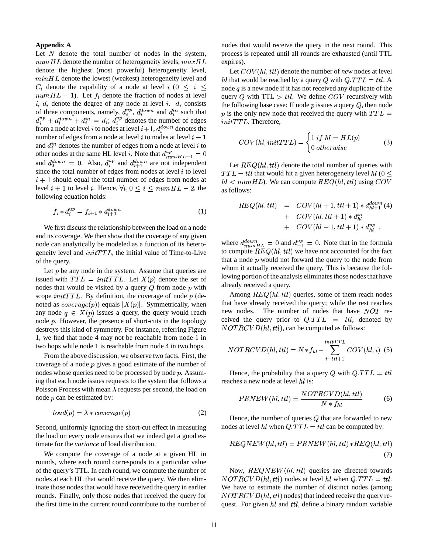#### **Appendix A**

Let  $N$  denote the total number of nodes in the system,  $numHL$  denote the number of heterogeneity levels,  $maxHL$ denote the highest (most powerful) heterogeneity level,  $minHL$  denote the lowest (weakest) heterogeneity level and  $C_i$  denote the capability of a node at level  $i$  ( $0 \le i \le n$  $numHL - 1$ ). Let  $f_i$  denote the fraction of nodes at level  $i, d_i$  denote the degree of any node at level  $i. d_i$  consists of three components, namely,  $d_i^{up}$ ,  $d_i^{down}$  and  $d_i^{nn}$  such that  $d_i^{up} + d_i^{down} + d_i^{in} = d_i$ ;  $d_i^{up}$  denotes the number of edges from a node at level i to nodes at level  $i+1$ ,  $d_i^{down}$  denotes the number of edges from a node at level i to nodes at level  $i-1$ and  $d_i^{in}$  denotes the number of edges from a node at level i to other nodes at the same HL level *i*. Note that  $d_{numHL-1}^{up} = 0$ <br>and  $d_0^{down} = 0$ . Also,  $d_i^{up}$  and  $d_{i+1}^{down}$  are not independent  $I_{\text{ref}}$ since the total number of edges from nodes at level  $i$  to level  $i + 1$  should equal the total number of edges from nodes at level  $i + 1$  to level i. Hence,  $\forall i, 0 \le i \le numHL - 2$ , the following equation holds:

$$
f_i * d_i^{up} = f_{i+1} * d_{i+1}^{down}
$$
 (1)

We first discuss the relationship between the load on a node and its coverage. We then show that the coverage of any given node can analytically be modeled as a function of its heterogeneity level and  $initTTL$ , the initial value of Time-to-Live of the query.

Let  $p$  be any node in the system. Assume that queries are issued with  $TTL = initTTL$ . Let  $X(p)$  denote the set of nodes that would be visited by a query  $Q$  from node  $p$  with scope  $initTTL$ . By definition, the coverage of node  $p$  (denoted as  $coverage(p))$  equals  $|X(p)|$ . Symmetrically, when any node  $q \in X(p)$  issues a query, the query would reach node  $p$ . However, the presence of short-cuts in the topology destroys this kind of symmetry. For instance, referring Figure 1, we find that node 4 may not be reachable from node 1 in two hops while node 1 is reachable from node 4 in two hops.

From the above discussion, we observe two facts. First, the coverage of a node  $p$  gives a good estimate of the number of nodes whose queries need to be processed by node  $p$ . Assuming that each node issues requests to the system that follows a Poisson Process with mean  $\lambda$  requests per second, the load on node  $p$  can be estimated by:

$$
load(p) = \lambda * coverage(p) \tag{2}
$$

Second, uniformly ignoring the short-cut effect in measuring the load on every node ensures that we indeed get a good estimate for the *variance* of load distribution.

We compute the coverage of a node at a given HL in rounds, where each round corresponds to a particular value of the query's TTL. In each round, we compute the number of nodes at each HL that would receive the query. We then eliminate those nodes that would have received the query in earlier rounds. Finally, only those nodes that received the query for the first time in the current round contribute to the number of

 $axHL$  expires). nodes that would receive the query in the next round. This process is repeated until all rounds are exhausted (until TTL

 $i \leq$  node q is a new node if it has not received any duplicate of the Let  $COV(hl, ttl)$  denote the number of *new* nodes at level hl that would be reached by a query Q with  $Q.TTL = ttl$ . A query Q with  $TTL > ttl$ . We define  $COV$  recursively with the following base case: If node  $p$  issues a query  $Q$ , then node p is the only new node that received the query with  $TTL =$  $initTTL$ . Therefore,

$$
COV(hl,initTTL) = \begin{cases} 1 \text{ if } hl = HL(p) \\ 0 \text{ otherwise} \end{cases}
$$
 (3)

Let  $REQ(hl, ttl)$  denote the total number of queries with  $TTL = ttl$  that would hit a given heterogeneity level hl (0  $\leq$  $hl < numHL$ ). We can compute  $REQ(hl,ttl)$  using  $COV$ as follows:

$$
REQ(hl,ttl) = COV(hl + 1,ttl + 1) * d_{hl+1}^{down}(4)
$$
  
+ COV(hl,ttl + 1) \* d\_{hl}^{in}  
+ COV(hl - 1,ttl + 1) \* d\_{hl-1}^{up}

where  $d_{numHL}^{down} = 0$  and  $d_{-1}^{up} = 0$ . Note that in the formula to compute  $REQ(hl,ttl)$  we have not accounted for the fact that a node  *would not forward the query to the node from* whom it actually received the query. This is because the following portion of the analysis eliminates those nodes that have already received a query.

Among  $REQ(hl,ttl)$  queries, some of them reach nodes that have already received the query; while the rest reaches new nodes. The number of nodes that have  $NOT$  received the query prior to  $Q.TTL = ttl$ , denoted by  $NOT$   $RCVD$   $(hl, ttl)$ , can be computed as follows:

$$
NOTRCVD(hl, ttl) = N * f_{hl} - \sum_{i=ttl+1}^{initTTL} COV(hl, i) \tag{5}
$$

Hence, the probability that a query Q with  $Q. TTL = \text{ttl}$ reaches a new node at level  $hl$  is:

$$
PRNEW(hl,ttl) = \frac{NOTRCVD(hl,ttl)}{N * f_{hl}}
$$
(6)

Hence, the number of queries  $Q$  that are forwarded to new nodes at level hl when  $Q.TTL = ttl$  can be computed by:

$$
REQNEW(hl, ttl) = PRNEW(hl, ttl) * REQ(hl, ttl)
$$
\n
$$
(7)
$$

Now,  $REQNEW(hl, ttl)$  queries are directed towards  $NOT$   $RCVD$   $(hl, ttl)$  nodes at level  $hl$  when  $Q. TTL = ttl$ . We have to estimate the number of distinct nodes (among  $NOTRCVD(hl, ttl)$  nodes) that indeed receive the query request. For given  $hl$  and  $ttl$ , define a binary random variable